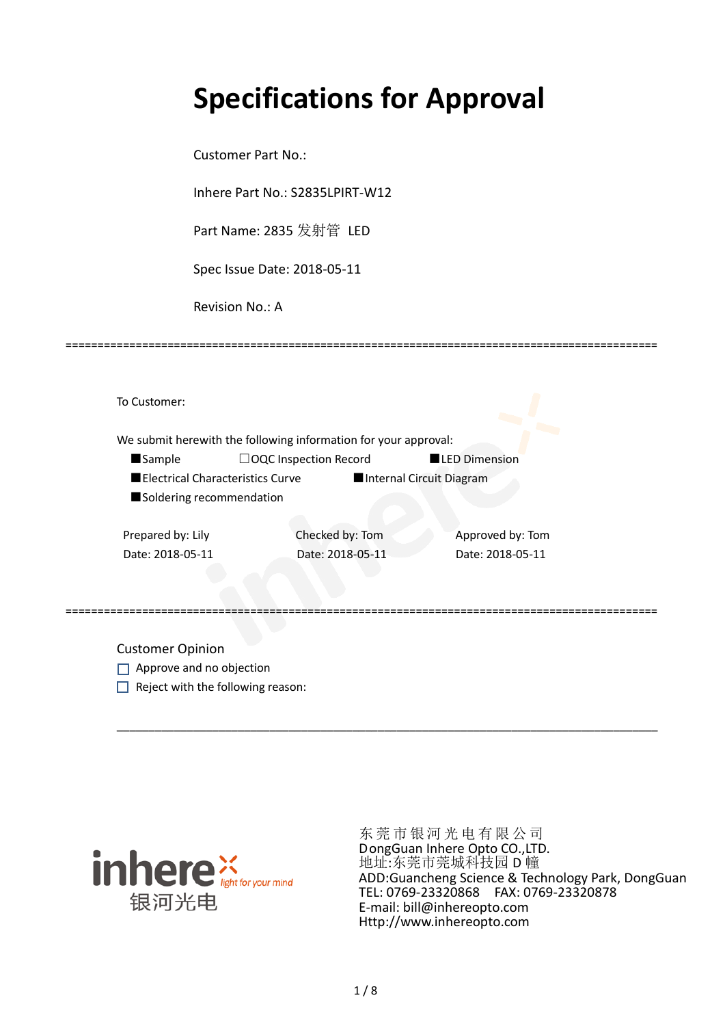# **Specifications for Approval**

Customer Part No.:

Inhere Part No.: S2835LPIRT-W12

Part Name: 2835 发射管 LED

Spec Issue Date: 2018-05-11

Revision No.: A

|                                  | We submit herewith the following information for your approval: |                          |
|----------------------------------|-----------------------------------------------------------------|--------------------------|
| <b>Sample</b>                    | □OQC Inspection Record                                          | <b>LED Dimension</b>     |
| Electrical Characteristics Curve |                                                                 | Internal Circuit Diagram |
| Soldering recommendation         |                                                                 |                          |
|                                  | Checked by: Tom                                                 | Approved by: Tom         |
| Prepared by: Lily                |                                                                 |                          |
| Date: 2018-05-11                 | Date: 2018-05-11                                                | Date: 2018-05-11         |

\_\_\_\_\_\_\_\_\_\_\_\_\_\_\_\_\_\_\_\_\_\_\_\_\_\_\_\_\_\_\_\_\_\_\_\_\_\_\_\_\_\_\_\_\_\_\_\_\_\_\_\_\_\_\_\_\_\_\_\_\_\_\_\_\_\_\_\_\_\_\_\_\_\_\_\_\_\_\_\_\_\_\_\_\_

=============================================================================================

Customer Opinion

- Approve and no objection
- $\Box$  Reject with the following reason:



东莞市银河光电有限公司 DongGuan Inhere Opto CO.,LTD. 地址:东莞市莞城科技园 D 幢 ADD:Guancheng Science & Technology Park, DongGuan TEL: 0769-23320868 FAX: 0769-23320878 E-mail: bill@inhereopto.com Http://www.inhereopto.com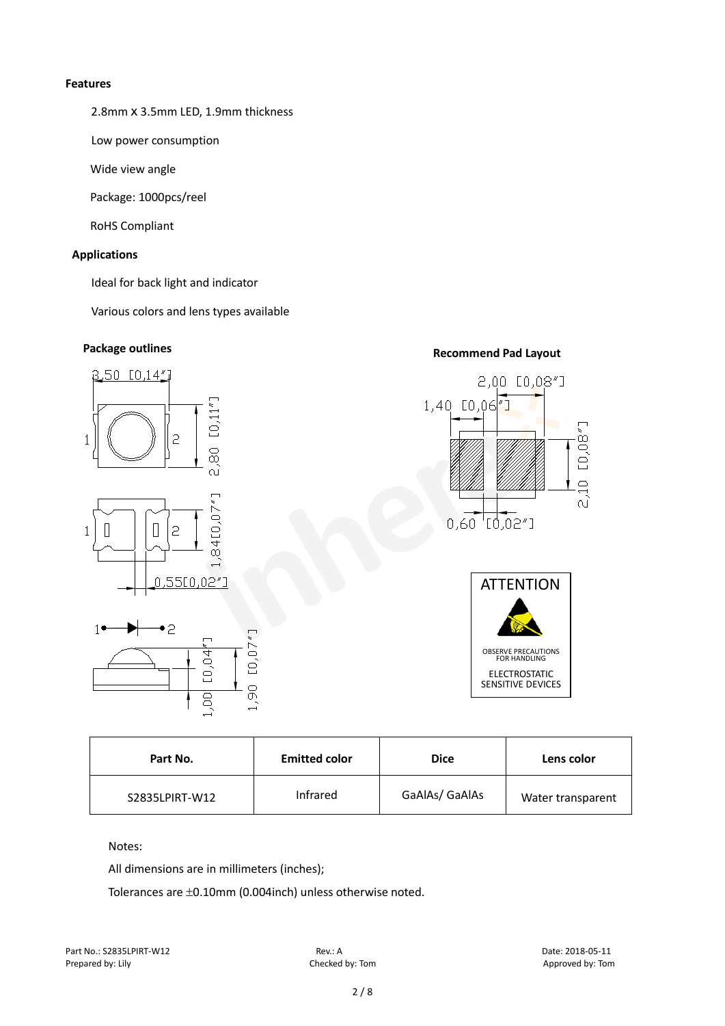#### **Features**

2.8mm x 3.5mm LED, 1.9mm thickness

Low power consumption

Wide view angle

Package: 1000pcs/reel

RoHS Compliant

## **Applications**

Ideal for back light and indicator

Various colors and lens types available

# **Package outlines Recommend Pad Layout**



1,90

# $\cap$ [0,08

 $0,60$   $[0,02"]$ 

 $\subseteq$  $\widehat{\omega}$ 

2,00 [0,08"]

**ATTENTION** OBSERVE PRECAUTIONS FOR HANDLING ELECTROSTATIC SENSITIVE DEVICES

| Part No.       | <b>Emitted color</b> | <b>Dice</b>    | Lens color        |
|----------------|----------------------|----------------|-------------------|
| S2835LPIRT-W12 | Infrared             | GaAlAs/ GaAlAs | Water transparent |

## Notes:

All dimensions are in millimeters (inches);

 $\overline{a}$ 

Tolerances are ±0.10mm (0.004inch) unless otherwise noted.

Part No.: S2835LPIRT-W12 Rev.: A Date: 2018-05-11 Prepared by: Lily Checked by: Tom Checked by: Tom Approved by: Tom Approved by: Tom Approved by: Tom Approved by: Tom Approved by: Tom Approved by: Tom Approved by: Tom Approved by: Tom Approved by: Tom Approved by: Tom Ap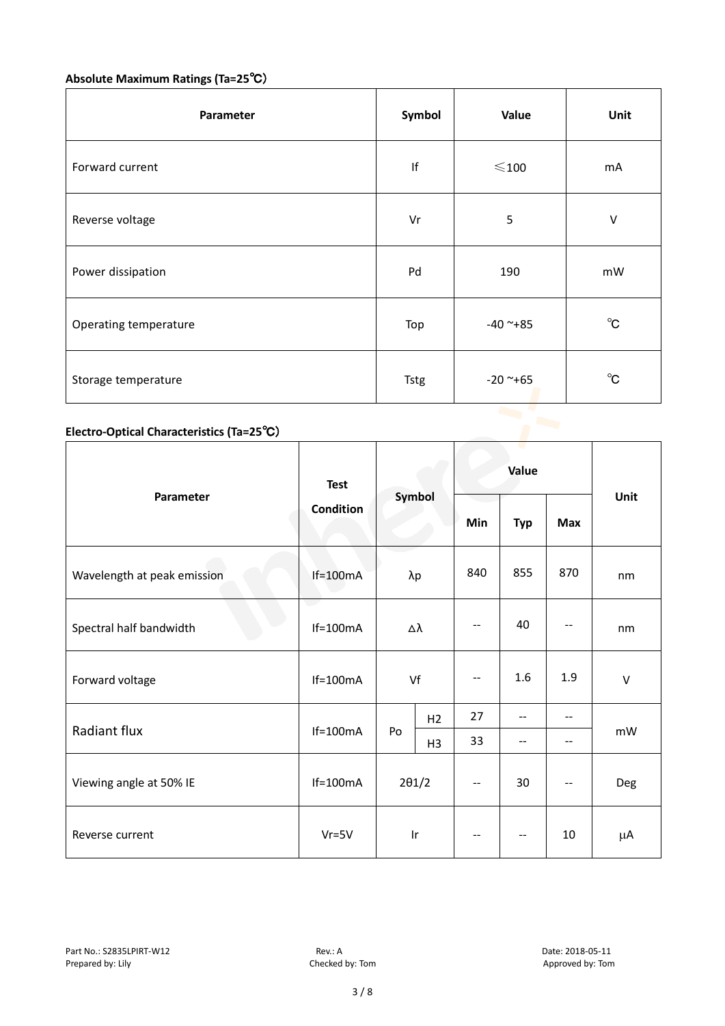# **Absolute Maximum Ratings (Ta=25**℃)

| Parameter             | Symbol      | Value           | Unit         |
|-----------------------|-------------|-----------------|--------------|
| Forward current       | f           | $\leqslant$ 100 | mA           |
| Reverse voltage       | Vr          | 5               | V            |
| Power dissipation     | Pd          | 190             | mW           |
| Operating temperature | Top         | $-40$ ~ $+85$   | $^{\circ}$ C |
| Storage temperature   | <b>Tstg</b> | $-20$ ~+65      | $^{\circ}$ C |

# **Electro-Optical Characteristics (Ta=25**℃)

|                             | <b>Test</b><br>Condition | Symbol        |                         | Value                    |            |            |      |    |
|-----------------------------|--------------------------|---------------|-------------------------|--------------------------|------------|------------|------|----|
| Parameter                   |                          |               |                         | Min                      | <b>Typ</b> | <b>Max</b> | Unit |    |
| Wavelength at peak emission | $If = 100mA$             | λp            |                         | 840                      | 855        | 870        | nm   |    |
| Spectral half bandwidth     | e e<br>$If=100mA$        | Δλ            |                         | $\qquad \qquad -$        | 40         |            | nm   |    |
| Forward voltage             | $If=100mA$               | Vf            |                         | $\overline{\phantom{m}}$ | 1.6        | 1.9        | V    |    |
|                             |                          |               | H <sub>2</sub>          | 27                       | --         | $-$        |      |    |
| Radiant flux                | $If=100mA$               |               | Po                      | H <sub>3</sub>           | 33         | --         | --   | mW |
| Viewing angle at 50% IE     | $If=100mA$               | $2\theta$ 1/2 |                         | $\overline{\phantom{a}}$ | 30         | --         | Deg  |    |
| Reverse current             | $Vr = 5V$                |               | $\mathsf{I} \mathsf{r}$ | --                       | --         | 10         | μA   |    |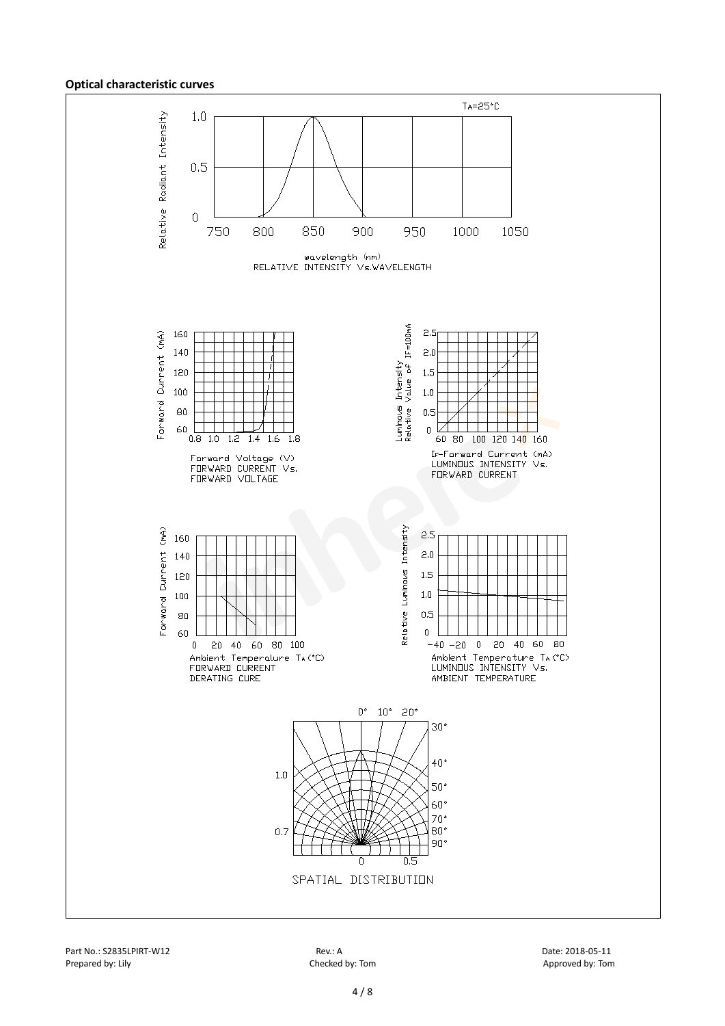#### **Optical characteristic curves**



Part No.: S2835LPIRT-W12 **Rev.: A** Rev.: A Date: 2018-05-11 Prepared by: Lily Checked by: Tom Checked by: Tom Approved by: Tom Approved by: Tom Approved by: Tom Approved by: Tom Approved by: Tom Approved by: Tom Approved by: Tom Approved by: Tom Approved by: Tom Approved by: Tom Ap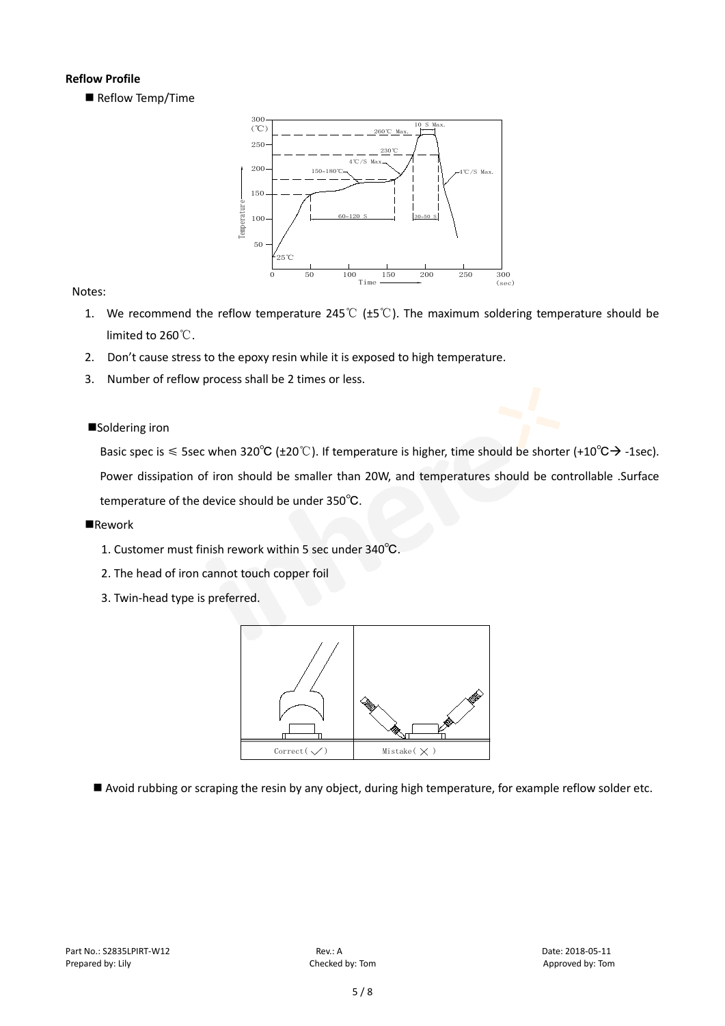## **Reflow Profile**

Reflow Temp/Time



## Notes:

- 1. We recommend the reflow temperature 245℃ (±5℃). The maximum soldering temperature should be limited to 260℃.
- 2. Don't cause stress to the epoxy resin while it is exposed to high temperature.
- 3. Number of reflow process shall be 2 times or less.

## ■Soldering iron

Basic spec is  $\leq$  5sec when 320°C (±20°C). If temperature is higher, time should be shorter (+10°C $\rightarrow$  -1sec). Power dissipation of iron should be smaller than 20W, and temperatures should be controllable .Surface temperature of the device should be under 350℃.

## **Rework**

- 1. Customer must finish rework within 5 sec under 340℃.
- 2. The head of iron cannot touch copper foil
- 3. Twin-head type is preferred.



Avoid rubbing or scraping the resin by any object, during high temperature, for example reflow solder etc.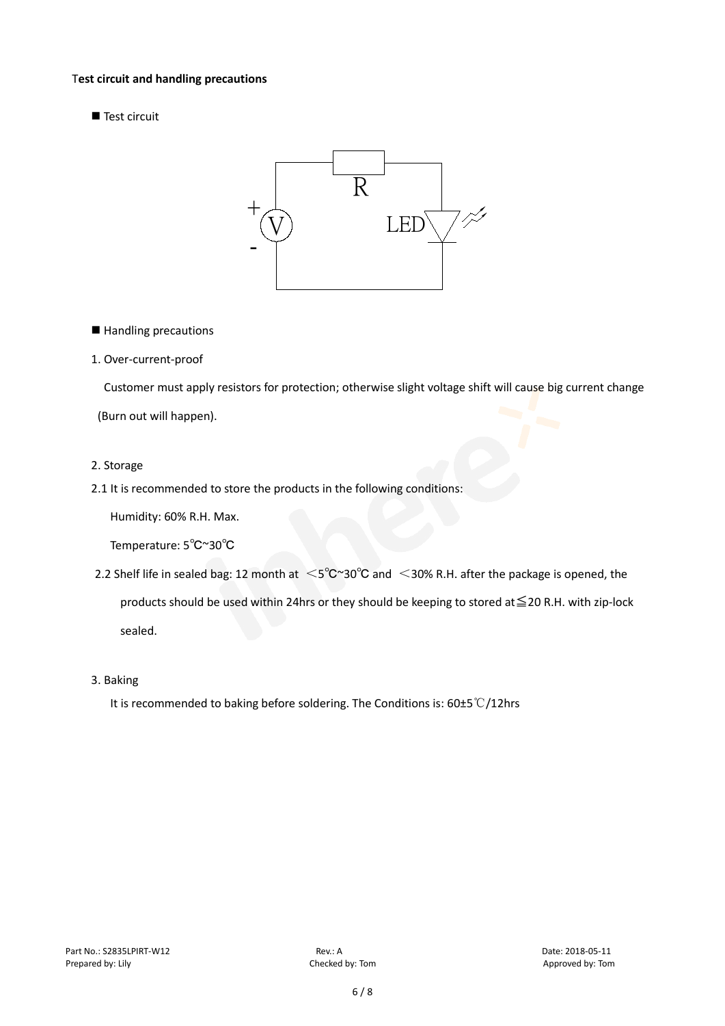#### T**est circuit and handling precautions**

Test circuit



■ Handling precautions

## 1. Over-current-proof

Customer must apply resistors for protection; otherwise slight voltage shift will cause big current change

(Burn out will happen).

#### 2. Storage

2.1 It is recommended to store the products in the following conditions:

Humidity: 60% R.H. Max.

Temperature: 5℃~30℃

- 2.2 Shelf life in sealed bag: 12 month at <5℃~30°C and <30% R.H. after the package is opened, the products should be used within 24hrs or they should be keeping to stored at≦20 R.H. with zip-lock sealed.
- 3. Baking

It is recommended to baking before soldering. The Conditions is: 60±5℃/12hrs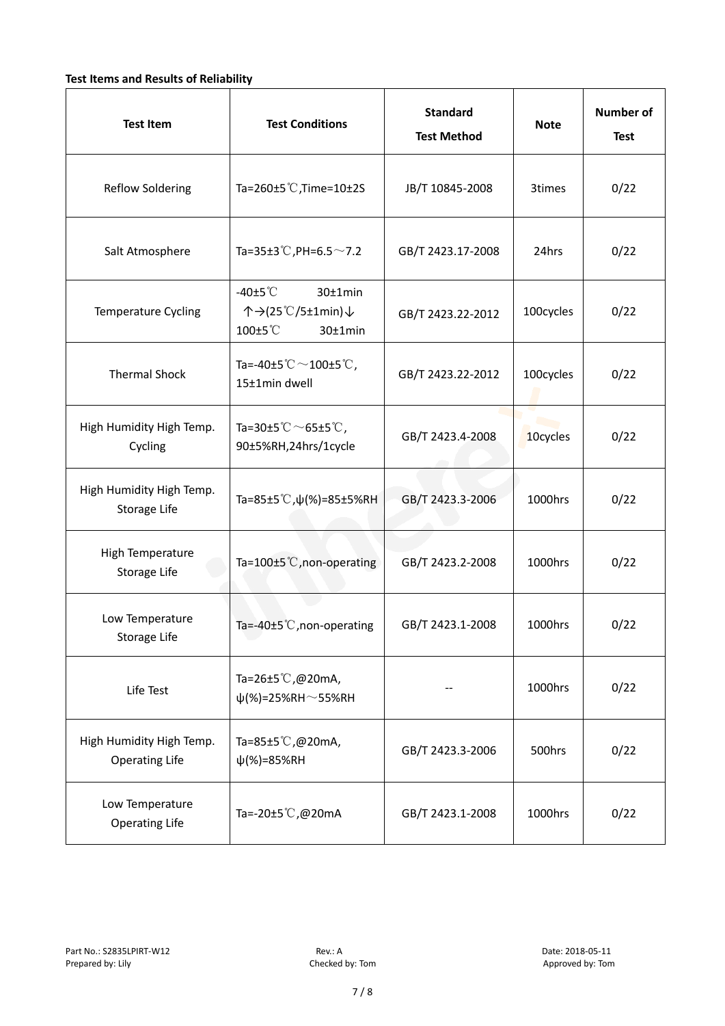## **Test Items and Results of Reliability**

| <b>Test Item</b>                                  | <b>Test Conditions</b>                                                       | <b>Standard</b><br><b>Test Method</b> | <b>Note</b> | <b>Number of</b><br><b>Test</b> |
|---------------------------------------------------|------------------------------------------------------------------------------|---------------------------------------|-------------|---------------------------------|
| <b>Reflow Soldering</b>                           | Ta=260±5 °C, Time=10±2S                                                      | JB/T 10845-2008                       | 3times      | 0/22                            |
| Salt Atmosphere                                   | Ta=35±3°C, PH=6.5 $\sim$ 7.2                                                 | GB/T 2423.17-2008                     | 24hrs       | 0/22                            |
| Temperature Cycling                               | -40 $±5^{\circ}$ C<br>$30±1$ min<br>个→(25℃/5±1min)↓<br>100±5°C<br>$30±1$ min | GB/T 2423.22-2012                     | 100cycles   | 0/22                            |
| <b>Thermal Shock</b>                              | Ta=-40±5 $°C$ ~100±5 $°C$ ,<br>15±1min dwell                                 | GB/T 2423.22-2012                     | 100cycles   | 0/22                            |
| High Humidity High Temp.<br>Cycling               | Ta=30±5 $^{\circ}$ C $\sim$ 65±5 $^{\circ}$ C,<br>90±5%RH,24hrs/1cycle       | GB/T 2423.4-2008                      | 10cycles    | 0/22                            |
| High Humidity High Temp.<br>Storage Life          | Ta=85±5 °C, $\psi$ (%)=85±5%RH                                               | GB/T 2423.3-2006                      | 1000hrs     | 0/22                            |
| High Temperature<br>Storage Life                  | Ta=100±5°C, non-operating                                                    | GB/T 2423.2-2008                      | 1000hrs     | 0/22                            |
| Low Temperature<br>Storage Life                   | Ta=-40±5℃, non-operating                                                     | GB/T 2423.1-2008                      | 1000hrs     | 0/22                            |
| Life Test                                         | Ta=26±5℃,@20mA,<br>$\psi$ (%)=25%RH~55%RH                                    |                                       | 1000hrs     | 0/22                            |
| High Humidity High Temp.<br><b>Operating Life</b> | Ta=85±5℃,@20mA,<br>$\psi$ (%)=85%RH                                          | GB/T 2423.3-2006                      | 500hrs      | 0/22                            |
| Low Temperature<br><b>Operating Life</b>          | Ta=-20±5℃,@20mA                                                              | GB/T 2423.1-2008                      | 1000hrs     | 0/22                            |